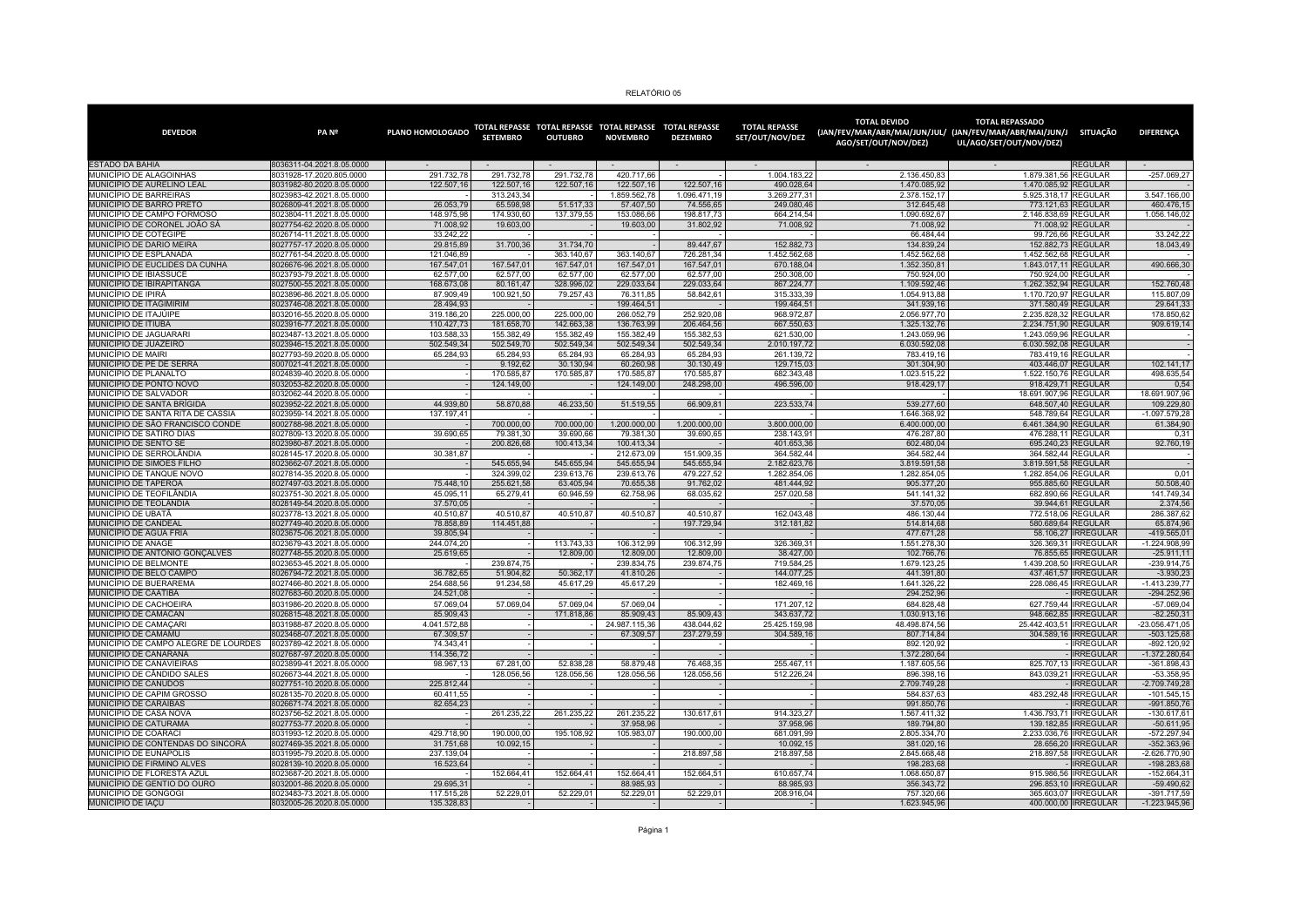| RELATÓRIO 05 |  |  |
|--------------|--|--|
|--------------|--|--|

| <b>DEVEDOR</b>                                                  | PA <sub>N<sup>2</sup></sub>                            | PLANO HOMOLOGADO          | <b>SETEMBRO</b>         | <b>OUTUBRO</b>          | <b>NOVEMBRO</b>            | TOTAL REPASSE TOTAL REPASSE TOTAL REPASSE TOTAL REPASSE<br><b>DEZEMBRO</b> | <b>TOTAL REPASSE</b><br>SET/OUT/NOV/DEZ | <b>TOTAL DEVIDO</b><br>AGO/SET/OUT/NOV/DEZ) | <b>TOTAL REPASSADO</b><br>(JAN/FEV/MAR/ABR/MAI/JUN/JUL/ (JAN/FEV/MAR/ABR/MAI/JUN/J SITUAÇÃO<br>UL/AGO/SET/OUT/NOV/DEZ) |                  | <b>DIFERENCA</b>                  |
|-----------------------------------------------------------------|--------------------------------------------------------|---------------------------|-------------------------|-------------------------|----------------------------|----------------------------------------------------------------------------|-----------------------------------------|---------------------------------------------|------------------------------------------------------------------------------------------------------------------------|------------------|-----------------------------------|
| <b>ESTADO DA BAHIA</b>                                          | 8036311-04.2021.8.05.0000                              |                           |                         |                         |                            |                                                                            |                                         |                                             |                                                                                                                        | <b>REGULAR</b>   |                                   |
| MUNICÍPIO DE ALAGOINHAS                                         | 8031928-17.2020.805.0000                               | 291.732.78                | 291.732.78              | 291.732.78              | 420.717.66                 |                                                                            | 1.004.183.22                            | 2.136.450.83                                | 1.879.381.56 REGULAR                                                                                                   |                  | -257.069.27                       |
| MUNICÍPIO DE AURELINO LEAL                                      | 8031982-80.2020.8.05.0000                              | 122.507,16                | 122.507,16              | 122.507,16              | 122.507,16                 | 122.507,16                                                                 | 490.028,64                              | 1.470.085,92                                | 1.470.085,92 REGULAR                                                                                                   |                  |                                   |
| MUNICÍPIO DE BARREIRAS                                          | 8023983-42.2021.8.05.0000                              |                           | 313.243,34              |                         | 1.859.562,78               | 1.096.471,19                                                               | 3.269.277,31                            | 2.378.152,17                                | 5.925.318,17 REGULAR                                                                                                   |                  | 3.547.166,00                      |
| MUNICÍPIO DE BARRO PRETO<br>MUNICÍPIO DE CAMPO FORMOSO          | 8026809-41.2021.8.05.0000<br>8023804-11.2021.8.05.0000 | 26.053,79<br>148.975.98   | 65.598,98<br>174.930.60 | 51.517,33<br>137.379.55 | 57.407,50<br>153.086.66    | 74.556,65<br>198.817.73                                                    | 249.080,46<br>664.214.54                | 312.645,48<br>1.090.692.67                  | 773.121,63 REGULAR<br>2.146.838.69 REGULAR                                                                             |                  | 460.476,15<br>1.056.146.02        |
| MUNICÍPIO DE CORONEL JOÃO SÁ                                    | 8027754-62.2020.8.05.0000                              | 71,008.92                 | 19,603.00               |                         | 19.603,00                  | 31.802,92                                                                  | 71,008.92                               | 71,008.92                                   | 71.008,92 REGULAR                                                                                                      |                  |                                   |
| MUNICÍPIO DE COTEGIPE                                           | 8026714-11.2021.8.05.0000                              | 33.242,22                 |                         |                         |                            |                                                                            |                                         | 66.484,44                                   | 99.726,66 REGULAR                                                                                                      |                  | 33.242,22                         |
| MUNICÍPIO DE DARIO MEIRA                                        | 8027757-17.2020.8.05.0000                              | 29.815,89                 | 31.700,36               | 31.734.70               |                            | 89.447.67                                                                  | 152.882.73                              | 134.839.24                                  | 152.882,73 REGULAR                                                                                                     |                  | 18.043,49                         |
| MUNICÍPIO DE ESPLANADA                                          | 8027761-54.2020.8.05.0000                              | 121.046.89                |                         | 363.140.67              | 363.140.67                 | 726.281.34                                                                 | 1.452.562.68                            | 1.452.562.68                                | 1.452.562,68 REGULAR                                                                                                   |                  |                                   |
| MUNICÍPIO DE EUCLIDES DA CUNHA                                  | 8026676-96.2021.8.05.0000                              | 167.547,01                | 167.547,01              | 167.547,01              | 167.547,01                 | 167.547,01                                                                 | 670.188,04                              | 1.352.350,81                                | 1.843.017,11 REGULAR                                                                                                   |                  | 490.666,30                        |
| MUNICÍPIO DE IBIASSUCÊ                                          | 8023793-79.2021.8.05.0000                              | 62.577,00                 | 62.577,00               | 62.577,00               | 62.577,00                  | 62.577,00                                                                  | 250.308,00                              | 750.924,00                                  | 750.924,00 REGULAR                                                                                                     |                  |                                   |
| MUNICÍPIO DE IBIRAPITANGA                                       | 8027500-55.2021.8.05.0000                              | 168.673,08                | 80.161,47               | 328.996,02              | 229.033,64                 | 229.033,64                                                                 | 867.224,77                              | 1.109.592,46                                | 1.262.352,94 REGULAR                                                                                                   |                  | 152.760,48                        |
| MUNICÍPIO DE IPIRÁ                                              | 8023896-86.2021.8.05.0000                              | 87.909.49                 | 100.921,50              | 79.257,43               | 76.311,85                  | 58.842,61                                                                  | 315.333.39                              | 1.054.913,88                                | 1.170.720.97 REGULAR                                                                                                   |                  | 115.807,09                        |
| MUNICÍPIO DE ITAGIMIRIM<br>MUNICÍPIO DE ITAJÚIPE                | 8023746-08.2021.8.05.0000<br>8032016-55.2020.8.05.0000 | 28.494,93<br>319.186,20   | 225.000,00              | 225.000,00              | 199.464,51<br>266.052,79   | 252.920,08                                                                 | 199.464,51<br>968.972,87                | 341.939,16<br>2.056.977,70                  | 371.580,49 REGULAR<br>2.235.828,32 REGULAR                                                                             |                  | 29.641,33<br>178.850,62           |
| MUNICÍPIO DE ITIÚBA                                             | 8023916-77.2021.8.05.0000                              | 110.427,73                | 181.658,70              | 142.663.38              | 136.763,99                 | 206.464.56                                                                 | 667.550,63                              | 1.325.132,76                                | 2.234.751,90 REGULAR                                                                                                   |                  | 909.619,14                        |
| MUNICÍPIO DE JAGUARARI                                          | 8023487-13.2021.8.05.0000                              | 103.588.33                | 155.382.49              | 155.382.49              | 155.382.49                 | 155.382.53                                                                 | 621.530.00                              | 1.243.059.96                                | 1.243.059.96 REGULAR                                                                                                   |                  |                                   |
| MUNICÍPIO DE JUAZEIRO                                           | 8023946-15.2021.8.05.0000                              | 502.549,34                | 502.549,70              | 502.549,34              | 502.549,34                 | 502.549,34                                                                 | 2.010.197,72                            | 6.030.592,08                                | 6.030.592,08 REGULAR                                                                                                   |                  |                                   |
| MUNICÍPIO DE MAIRI                                              | 8027793-59.2020.8.05.0000                              | 65.284,93                 | 65.284.93               | 65.284.93               | 65.284.93                  | 65.284.93                                                                  | 261.139.72                              | 783.419.16                                  | 783.419.16 REGULAR                                                                                                     |                  |                                   |
| MUNICÍPIO DE PÉ DE SERRA                                        | 8007021-41.2021.8.05.0000                              |                           | 9.192.62                | 30.130.94               | 60.260.98                  | 30.130.49                                                                  | 129.715.03                              | 301.304.90                                  | 403.446.07 REGULAR                                                                                                     |                  | 102.141.17                        |
| MUNICÍPIO DE PLANALTO                                           | 8024839-40.2020.8.05.0000                              |                           | 170.585.87              | 170.585.87              | 170.585.87                 | 170,585.87                                                                 | 682.343.48                              | 1.023.515.22                                | 1.522.150,76 REGULAR                                                                                                   |                  | 498.635.54                        |
| MUNICÍPIO DE PONTO NOVO                                         | 8032053-82.2020.8.05.0000                              |                           | 124.149,00              |                         | 124.149,00                 | 248.298,00                                                                 | 496.596,00                              | 918.429,17                                  | 918.429,71 REGULAR                                                                                                     |                  | 0,54                              |
| MUNICÍPIO DE SALVADOR                                           | 8032062-44.2020.8.05.0000                              |                           |                         |                         |                            |                                                                            |                                         |                                             | 18.691.907,96 REGULAR                                                                                                  |                  | 18.691.907,96                     |
| MUNICÍPIO DE SANTA BRÍGIDA<br>MUNICÍPIO DE SANTA RITA DE CÁSSIA | 8023952-22.2021.8.05.0000<br>8023959-14.2021.8.05.0000 | 44.939,80                 | 58.870,88               | 46.233,50               | 51.519,55                  | 66.909,81                                                                  | 223.533,74                              | 539.277,60                                  | 648.507,40 REGULAR                                                                                                     |                  | 109.229,80<br>$-1.097.579.28$     |
| MUNICÍPIO DE SÃO FRANCISCO CONDE                                | 8002788-98.2021.8.05.0000                              | 137.197,41                | 700.000,00              | 700.000,00              | 1.200.000,00               | 1.200.000,00                                                               | 3.800.000,00                            | 1.646.368,92<br>6.400.000,00                | 548.789,64 REGULAR<br>6.461.384,90 REGULAR                                                                             |                  | 61.384,90                         |
| MUNICÍPIO DE SÁTIRO DIAS                                        | 8027809-13.2020.8.05.0000                              | 39.690,65                 | 79.381,30               | 39.690,66               | 79.381,30                  | 39.690,65                                                                  | 238.143,91                              | 476.287,80                                  | 476.288,11 REGULAR                                                                                                     |                  | 0,31                              |
| MUNICÍPIO DE SENTO SÉ                                           | 8023980-87.2021.8.05.0000                              |                           | 200.826,68              | 100.413.34              | 100.413,34                 |                                                                            | 401.653,36                              | 602.480.04                                  | 695.240,23 REGULAR                                                                                                     |                  | 92.760,19                         |
| MUNICÍPIO DE SERROLÂNDIA                                        | 8028145-17.2020.8.05.0000                              | 30.381,87                 |                         |                         | 212.673,09                 | 151.909,35                                                                 | 364.582,44                              | 364.582,44                                  | 364.582,44 REGULAR                                                                                                     |                  |                                   |
| MUNICÍPIO DE SIMÕES FILHO                                       | 8023662-07.2021.8.05.0000                              |                           | 545.655,94              | 545.655,94              | 545.655,94                 | 545.655,94                                                                 | 2.182.623,76                            | 3.819.591,58                                | 3.819.591,58 REGULAR                                                                                                   |                  |                                   |
| MUNICÍPIO DE TANQUE NOVO                                        | 8027814-35.2020.8.05.0000                              |                           | 324.399.02              | 239.613.76              | 239.613,76                 | 479.227.52                                                                 | 1.282.854.06                            | 1.282.854.05                                | 1.282.854.06 REGULAR                                                                                                   |                  | 0,01                              |
| MUNICÍPIO DE TAPEROÁ                                            | 8027497-03.2021.8.05.0000                              | 75,448.10                 | 255.621.58              | 63.405.94               | 70.655.38                  | 91.762.02                                                                  | 481.444.92                              | 905.377.20                                  | 955.885.60 REGULAR                                                                                                     |                  | 50,508.40                         |
| MUNICÍPIO DE TEOFILÂNDIA                                        | 8023751-30.2021.8.05.0000                              | 45.095.11                 | 65.279.41               | 60.946,59               | 62.758,96                  | 68.035.62                                                                  | 257.020.58                              | 541.141.32                                  | 682.890.66 REGULAR                                                                                                     |                  | 141.749.34                        |
| MUNICÍPIO DE TEOLÂNDIA<br>MUNICÍPIO DE UBATÃ                    | 8028149-54.2020.8.05.0000<br>8023778-13.2021.8.05.0000 | 37.570,05<br>40.510.87    | 40.510.87               | 40.510.87               | 40.510.87                  | 40.510.87                                                                  | 162.043.48                              | 37.570,05<br>486.130.44                     | 39.944,61 REGULAR<br>772.518.06 REGULAR                                                                                |                  | 2.374,56<br>286.387.62            |
| <b>MUNICÍPIO DE CANDEAL</b>                                     | 8027749-40.2020.8.05.0000                              | 78.858.89                 | 114.451.88              |                         |                            | 197.729.94                                                                 | 312.181.82                              | 514.814.68                                  | 580,689,64 REGULAR                                                                                                     |                  | 65.874.96                         |
| MUNICÍPIO DE ÁGUA FRIA                                          | 8023675-06.2021.8.05.0000                              | 39.805,94                 |                         |                         |                            |                                                                            |                                         | 477.671,28                                  | 58.106,27   IRREGULAR                                                                                                  |                  | $-419.565,01$                     |
| MUNICÍPIO DE ANAGÉ                                              | 8023679-43.2021.8.05.0000                              | 244.074,20                |                         | 113.743,33              | 106.312,99                 | 106.312,99                                                                 | 326.369,31                              | 1.551.278,30                                | 326.369,31   IRREGULAR                                                                                                 |                  | $-1.224.908.99$                   |
| MUNICÍPIO DE ANTÔNIO GONÇALVES                                  | 8027748-55.2020.8.05.0000                              | 25.619,65                 |                         | 12.809,00               | 12.809,00                  | 12.809,00                                                                  | 38.427,00                               | 102.766,76                                  | 76.855,65   IRREGULAR                                                                                                  |                  | $-25.911,11$                      |
| MUNICÍPIO DE BELMONTE                                           | 8023653-45.2021.8.05.0000                              |                           | 239.874.75              |                         | 239.834.75                 | 239.874,75                                                                 | 719.584.25                              | 1.679.123,25                                | 1.439.208,50 IRREGULAR                                                                                                 |                  | 239.914,75                        |
| MUNICÍPIO DE BELO CAMPO                                         | 8026794-72.2021.8.05.0000                              | 36.782,65                 | 51.904,82               | 50.362,17               | 41.810,26                  |                                                                            | 144.077,25                              | 441.391,80                                  | 437.461,57   IRREGULAR                                                                                                 |                  | $-3.930,23$                       |
| MUNICÍPIO DE BUERAREMA                                          | 8027466-80.2021.8.05.0000                              | 254.688,56                | 91.234,58               | 45.617,29               | 45.617,29                  |                                                                            | 182.469,16                              | 1.641.326,22                                | 228.086,45   IRREGULAR                                                                                                 |                  | $-1.413.239.77$                   |
| MUNICÍPIO DE CAATIBA                                            | 8027683-60.2020.8.05.0000                              | 24.521.08                 |                         |                         |                            |                                                                            |                                         | 294.252,96                                  |                                                                                                                        | <b>IRREGULAR</b> | $-294.252,96$                     |
| MUNICÍPIO DE CACHOEIRA                                          | 8031986-20.2020.8.05.0000                              | 57.069.04                 | 57.069.04               | 57.069,04               | 57.069.04                  |                                                                            | 171.207.12                              | 684.828.48                                  | 627.759.44 IRREGULAR                                                                                                   |                  | $-57.069,04$                      |
| MUNICÍPIO DE CAMACAN                                            | 8026815-48.2021.8.05.0000                              | 85.909.43                 |                         | 171.818.86              | 85,909.43                  | 85.909.43<br>438.044.62                                                    | 343.637.72<br>25.425.159.98             | 1.030.913.16<br>48.498.874.56               | 948.662.85 IRREGULAR                                                                                                   |                  | $-82.250.31$                      |
| MUNICÍPIO DE CAMAÇAR<br>MUNICÍPIO DE CAMAMÚ                     | 8031988-87.2020.8.05.0000<br>8023468-07.2021.8.05.0000 | 4.041.572,88<br>67.309,57 |                         |                         | 24.987.115,36<br>67.309,57 | 237.279,59                                                                 | 304.589,16                              | 807.714.84                                  | 25.442.403,51   IRREGULAR<br>304.589,16   IRREGULAR                                                                    |                  | $-23.056.471,05$<br>$-503.125,68$ |
| MUNICÍPIO DE CAMPO ALEGRE DE LOURDES                            | 8023789-42.2021.8.05.0000                              | 74.343.41                 |                         |                         |                            |                                                                            |                                         | 892.120.92                                  |                                                                                                                        | <b>IRREGULAR</b> | -892.120.92                       |
| MUNICÍPIO DE CANARANA                                           | 8027687-97.2020.8.05.0000                              | 114.356.72                |                         |                         |                            |                                                                            |                                         | 1.372.280.64                                |                                                                                                                        | <b>IRREGULAR</b> | $-1.372.280.64$                   |
| MUNICÍPIO DE CANAVIEIRAS                                        | 8023899-41.2021.8.05.0000                              | 98.967.13                 | 67,281.00               | 52.838.28               | 58,879.48                  | 76,468.35                                                                  | 255.467.11                              | 1.187.605,56                                | 825.707.13 IRREGULAR                                                                                                   |                  | $-361.898,43$                     |
| MUNICÍPIO DE CÂNDIDO SALES                                      | 8026673-44.2021.8.05.0000                              |                           | 128.056,56              | 128.056,56              | 128.056,56                 | 128.056,56                                                                 | 512.226,24                              | 896.398,16                                  | 843.039,21   IRREGULAR                                                                                                 |                  | $-53.358,95$                      |
| MUNICÍPIO DE CANUDOS                                            | 8027751-10.2020.8.05.0000                              | 225.812,44                |                         |                         |                            |                                                                            |                                         | 2.709.749,28                                |                                                                                                                        | <b>IRREGULAR</b> | -2.709.749,28                     |
| MUNICÍPIO DE CAPIM GROSSO                                       | 8028135-70.2020.8.05.0000                              | 60.411.55                 |                         |                         |                            |                                                                            |                                         | 584.837,63                                  | 483.292,48   IRREGULAR                                                                                                 |                  | $-101.545, 15$                    |
| MUNICÍPIO DE CARAÍBAS                                           | 8026671-74.2021.8.05.0000                              | 82.654,23                 |                         |                         |                            |                                                                            |                                         | 991.850,76                                  |                                                                                                                        | <b>IRREGULAR</b> | $-991.850,76$                     |
| MUNICÍPIO DE CASA NOVA<br>MUNICÍPIO DE CATURAMA                 | 8023756-52.2021.8.05.0000<br>8027753-77.2020.8.05.0000 |                           | 261.235,22              | 261.235,22              | 261.235,22<br>37.958,96    | 130.617,61                                                                 | 914.323,27<br>37.958,96                 | 1.567.411,32<br>189.794,80                  | 1.436.793,71   IRREGULAR<br>139.182,85   IRREGULAR                                                                     |                  | $-130.617,61$<br>$-50.611,95$     |
| MUNICÍPIO DE COARACI                                            | 8031993-12.2020.8.05.0000                              | 429.718.90                | 190.000.00              | 195.108,92              | 105.983.07                 | 190.000.00                                                                 | 681.091.99                              | 2.805.334,70                                | 2.233.036,76   IRREGULAR                                                                                               |                  | -572.297,94                       |
| MUNICÍPIO DE CONTENDAS DO SINCORÁ                               | 8027469-35.2021.8.05.0000                              | 31.751,68                 | 10.092,15               |                         |                            |                                                                            | 10.092,15                               | 381.020,16                                  | 28.656,20   IRREGULAR                                                                                                  |                  | -352.363,96                       |
| MUNICÍPIO DE EUNÁPOLIS                                          | 8031995-79.2020.8.05.0000                              | 237.139,04                |                         |                         |                            | 218.897.58                                                                 | 218.897,58                              | 2.845.668.48                                | 218.897,58 IRREGULAR                                                                                                   |                  | -2.626.770,90                     |
| MUNICÍPIO DE FIRMINO ALVES                                      | 8028139-10.2020.8.05.0000                              | 16.523.64                 |                         |                         |                            |                                                                            |                                         | 198.283.68                                  |                                                                                                                        | <b>IRREGULAR</b> | -198.283.68                       |
| MUNICÍPIO DE FLORESTA AZUI                                      | 8023687-20.2021.8.05.0000                              |                           | 152.664,41              | 152.664,41              | 152.664.41                 | 152.664.51                                                                 | 610.657.74                              | 1.068.650.87                                | 915.986.56 IRREGULAR                                                                                                   |                  | $-152.664,31$                     |
| MUNICÍPIO DE GENTIO DO OURO                                     | 8032001-86.2020.8.05.0000                              | 29.695.31                 |                         |                         | 88.985.93                  |                                                                            | 88.985.93                               | 356.343,72                                  | 296.853,10   IRREGULAR                                                                                                 |                  | $-59.490,62$                      |
| MUNICÍPIO DE GONGOGI                                            | 8023483-73.2021.8.05.0000                              | 117.515.28                | 52.229.01               | 52.229.01               | 52.229.01                  | 52.229.01                                                                  | 208.916.04                              | 757.320.66                                  | 365,603.07 IRREGULAR                                                                                                   |                  | -391.717.59                       |
| MUNICÍPIO DE IACÚ                                               | 8032005-26.2020.8.05.0000                              | 135,328.83                |                         |                         |                            |                                                                            |                                         | 1.623.945.96                                | 400,000,00 IRREGULAR                                                                                                   |                  | 1.223.945,96                      |